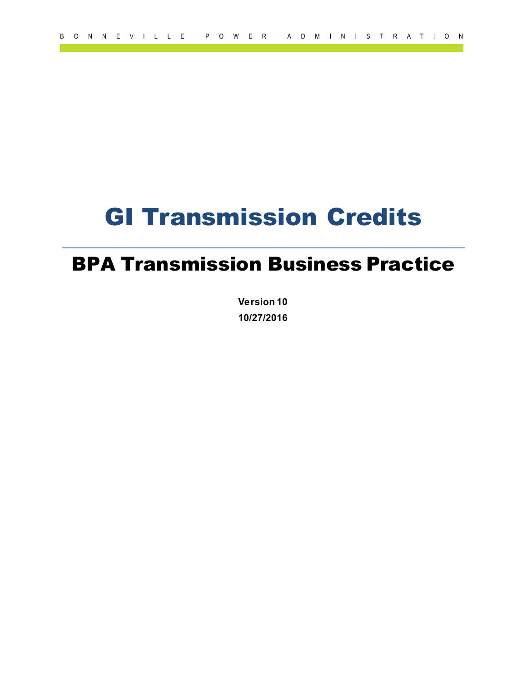# GI Transmission Credits

## BPA Transmission Business Practice

**Version 10 10/27/2016**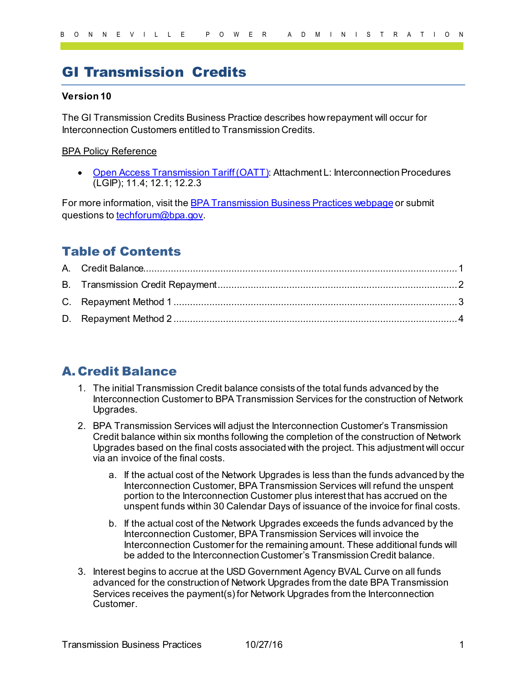## GI Transmission Credits

#### **Version 10**

The GI Transmission Credits Business Practice describes how repayment will occur for Interconnection Customers entitled to Transmission Credits.

#### BPA Policy Reference

• [Open Access Transmission Tariff \(OATT\)](https://www.bpa.gov/energy-and-services/transmission/tariff): Attachment L: Interconnection Procedures (LGIP); 11.4; 12.1; 12.2.3

For more information, visit the **BPA Transmission Business Practices webpage** or submit questions t[o techforum@bpa.gov](mailto:techforum@bpa.gov).

## Table of Contents

### <span id="page-1-0"></span>A. Credit Balance

- 1. The initial Transmission Credit balance consists of the total funds advanced by the Interconnection Customer to BPA Transmission Services for the construction of Network Upgrades.
- 2. BPA Transmission Services will adjust the Interconnection Customer's Transmission Credit balance within six months following the completion of the construction of Network Upgrades based on the final costs associated with the project. This adjustment will occur via an invoice of the final costs.
	- a. If the actual cost of the Network Upgrades is less than the funds advanced by the Interconnection Customer, BPA Transmission Services will refund the unspent portion to the Interconnection Customer plus interest that has accrued on the unspent funds within 30 Calendar Days of issuance of the invoice for final costs.
	- b. If the actual cost of the Network Upgrades exceeds the funds advanced by the Interconnection Customer, BPA Transmission Services will invoice the Interconnection Customer for the remaining amount. These additional funds will be added to the Interconnection Customer's Transmission Credit balance.
- 3. Interest begins to accrue at the USD Government Agency BVAL Curve on all funds advanced for the construction of Network Upgrades from the date BPA Transmission Services receives the payment(s) for Network Upgrades from the Interconnection Customer.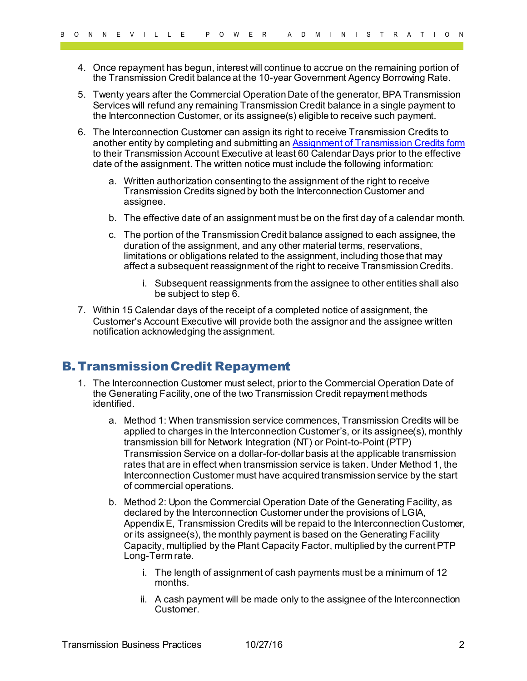- 4. Once repayment has begun, interest will continue to accrue on the remaining portion of the Transmission Credit balance at the 10-year Government Agency Borrowing Rate.
- 5. Twenty years after the Commercial Operation Date of the generator, BPA Transmission Services will refund any remaining Transmission Credit balance in a single payment to the Interconnection Customer, or its assignee(s) eligible to receive such payment.
- 6. The Interconnection Customer can assign its right to receive Transmission Credits to another entity by completing and submitting a[n Assignment of Transmission Credits form](https://www.bpa.gov/energy-and-services/transmission/business-practices/forms) to their Transmission Account Executive at least 60 Calendar Days prior to the effective date of the assignment. The written notice must include the following information:
	- a. Written authorization consenting to the assignment of the right to receive Transmission Credits signed by both the Interconnection Customer and assignee.
	- b. The effective date of an assignment must be on the first day of a calendar month.
	- c. The portion of the Transmission Credit balance assigned to each assignee, the duration of the assignment, and any other material terms, reservations, limitations or obligations related to the assignment, including those that may affect a subsequent reassignment of the right to receive Transmission Credits.
		- i. Subsequent reassignments from the assignee to other entities shall also be subject to step 6.
- 7. Within 15 Calendar days of the receipt of a completed notice of assignment, the Customer's Account Executive will provide both the assignor and the assignee written notification acknowledging the assignment.

#### <span id="page-2-0"></span>B. Transmission Credit Repayment

- 1. The Interconnection Customer must select, prior to the Commercial Operation Date of the Generating Facility, one of the two Transmission Credit repayment methods identified.
	- a. Method 1: When transmission service commences, Transmission Credits will be applied to charges in the Interconnection Customer's, or its assignee(s), monthly transmission bill for Network Integration (NT) or Point-to-Point (PTP) Transmission Service on a dollar-for-dollar basis at the applicable transmission rates that are in effect when transmission service is taken. Under Method 1, the Interconnection Customer must have acquired transmission service by the start of commercial operations.
	- b. Method 2: Upon the Commercial Operation Date of the Generating Facility, as declared by the Interconnection Customer under the provisions of LGIA, Appendix E, Transmission Credits will be repaid to the Interconnection Customer, or its assignee(s), the monthly payment is based on the Generating Facility Capacity, multiplied by the Plant Capacity Factor, multiplied by the current PTP Long-Term rate.
		- i. The length of assignment of cash payments must be a minimum of 12 months.
		- ii. A cash payment will be made only to the assignee of the Interconnection Customer.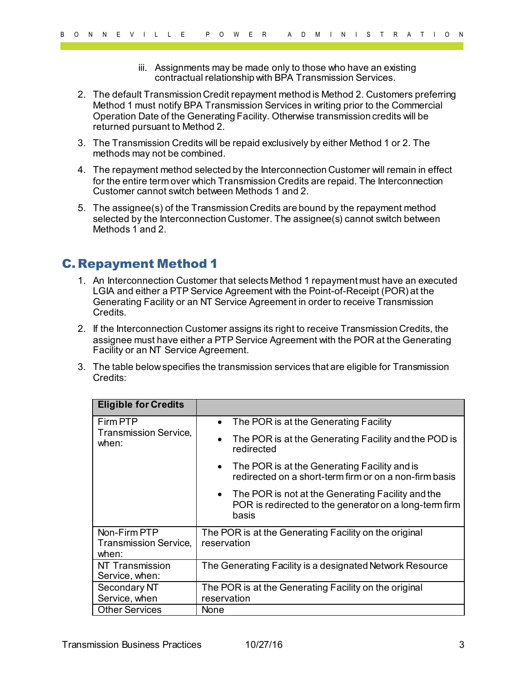- iii. Assignments may be made only to those who have an existing contractual relationship with BPA Transmission Services.
- 2. The default Transmission Credit repayment method is Method 2. Customers preferring Method 1 must notify BPA Transmission Services in writing prior to the Commercial Operation Date of the Generating Facility. Otherwise transmission credits will be returned pursuant to Method 2.
- 3. The Transmission Credits will be repaid exclusively by either Method 1 or 2. The methods may not be combined.
- 4. The repayment method selected by the Interconnection Customer will remain in effect for the entire term over which Transmission Credits are repaid. The Interconnection Customer cannot switch between Methods 1 and 2.
- 5. The assignee(s) of the Transmission Credits are bound by the repayment method selected by the Interconnection Customer. The assignee(s) cannot switch between Methods 1 and 2.

### <span id="page-3-0"></span>C. Repayment Method 1

- 1. An Interconnection Customer that selects Method 1 repayment must have an executed LGIA and either a PTP Service Agreement with the Point-of-Receipt (POR) at the Generating Facility or an NT Service Agreement in order to receive Transmission Credits.
- 2. If the Interconnection Customer assigns its right to receive Transmission Credits, the assignee must have either a PTP Service Agreement with the POR at the Generating Facility or an NT Service Agreement.
- 3. The table below specifies the transmission services that are eligible for Transmission Credits:

| <b>Eligible for Credits</b>                       |                                                                                                                        |  |  |
|---------------------------------------------------|------------------------------------------------------------------------------------------------------------------------|--|--|
| Firm PTP<br><b>Transmission Service,</b><br>when: | The POR is at the Generating Facility<br>$\bullet$                                                                     |  |  |
|                                                   | The POR is at the Generating Facility and the POD is<br>$\bullet$<br>redirected                                        |  |  |
|                                                   | The POR is at the Generating Facility and is<br>$\bullet$<br>redirected on a short-term firm or on a non-firm basis    |  |  |
|                                                   | • The POR is not at the Generating Facility and the<br>POR is redirected to the generator on a long-term firm<br>basis |  |  |
| Non-Firm PTP                                      | The POR is at the Generating Facility on the original                                                                  |  |  |
| <b>Transmission Service,</b><br>when:             | reservation                                                                                                            |  |  |
| NT Transmission<br>Service, when:                 | The Generating Facility is a designated Network Resource                                                               |  |  |
| Secondary NT                                      | The POR is at the Generating Facility on the original                                                                  |  |  |
| Service, when                                     | reservation                                                                                                            |  |  |
| <b>Other Services</b>                             | None                                                                                                                   |  |  |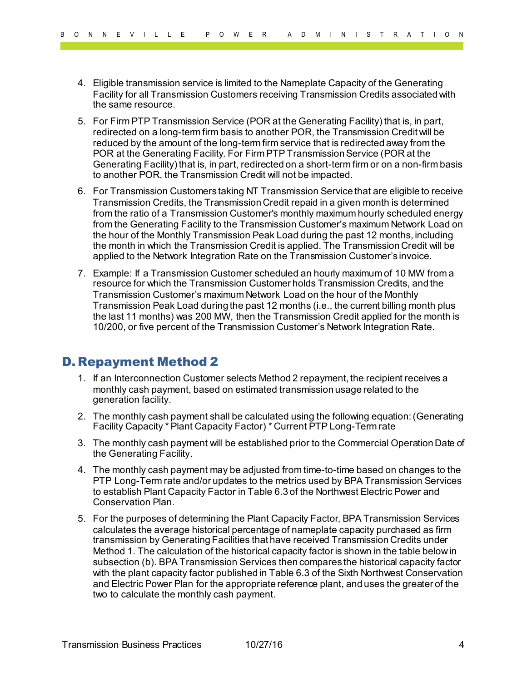- 4. Eligible transmission service is limited to the Nameplate Capacity of the Generating Facility for all Transmission Customers receiving Transmission Credits associated with the same resource.
- 5. For Firm PTP Transmission Service (POR at the Generating Facility) that is, in part, redirected on a long-term firm basis to another POR, the Transmission Credit will be reduced by the amount of the long-term firm service that is redirected away from the POR at the Generating Facility. For Firm PTP Transmission Service (POR at the Generating Facility) that is, in part, redirected on a short-term firm or on a non-firm basis to another POR, the Transmission Credit will not be impacted.
- 6. For Transmission Customers taking NT Transmission Service that are eligible to receive Transmission Credits, the Transmission Credit repaid in a given month is determined from the ratio of a Transmission Customer's monthly maximum hourly scheduled energy from the Generating Facility to the Transmission Customer's maximum Network Load on the hour of the Monthly Transmission Peak Load during the past 12 months, including the month in which the Transmission Credit is applied. The Transmission Credit will be applied to the Network Integration Rate on the Transmission Customer's invoice.
- 7. Example: If a Transmission Customer scheduled an hourly maximum of 10 MW from a resource for which the Transmission Customer holds Transmission Credits, and the Transmission Customer's maximum Network Load on the hour of the Monthly Transmission Peak Load during the past 12 months (i.e., the current billing month plus the last 11 months) was 200 MW, then the Transmission Credit applied for the month is 10/200, or five percent of the Transmission Customer's Network Integration Rate.

#### <span id="page-4-0"></span>D. Repayment Method 2

- 1. If an Interconnection Customer selects Method 2 repayment, the recipient receives a monthly cash payment, based on estimated transmission usage related to the generation facility.
- 2. The monthly cash payment shall be calculated using the following equation: (Generating Facility Capacity \* Plant Capacity Factor) \* Current PTP Long-Term rate
- 3. The monthly cash payment will be established prior to the Commercial Operation Date of the Generating Facility.
- 4. The monthly cash payment may be adjusted from time-to-time based on changes to the PTP Long-Term rate and/or updates to the metrics used by BPA Transmission Services to establish Plant Capacity Factor in Table 6.3 of the Northwest Electric Power and Conservation Plan.
- 5. For the purposes of determining the Plant Capacity Factor, BPA Transmission Services calculates the average historical percentage of nameplate capacity purchased as firm transmission by Generating Facilities that have received Transmission Credits under Method 1. The calculation of the historical capacity factor is shown in the table below in subsection (b). BPA Transmission Services then compares the historical capacity factor with the plant capacity factor published in Table 6.3 of the Sixth Northwest Conservation and Electric Power Plan for the appropriate reference plant, and uses the greater of the two to calculate the monthly cash payment.